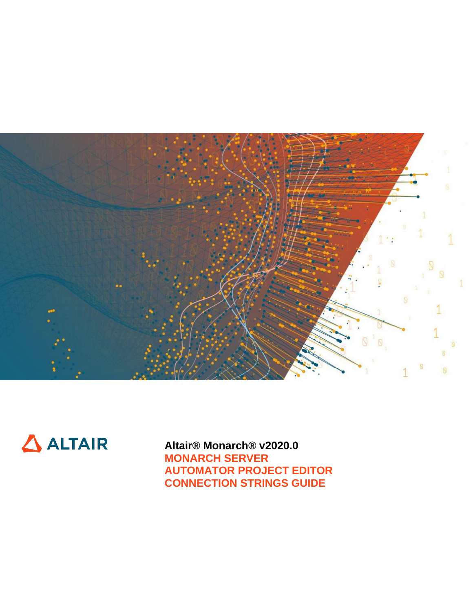



**Altair® Monarch® v2020.0 MONARCH SERVER AUTOMATOR PROJECT EDITOR CONNECTION STRINGS GUIDE**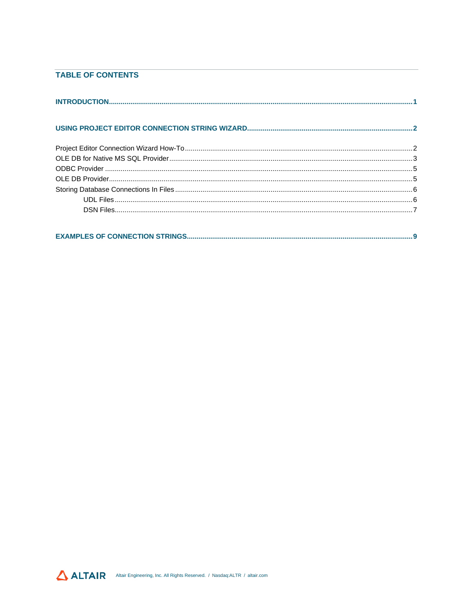### **TABLE OF CONTENTS**

| $\Delta$ ALTAIR<br>Altair Engineering, Inc. All Rights Reserved. / Nasdaq:ALTR / altair.com |  |
|---------------------------------------------------------------------------------------------|--|
|---------------------------------------------------------------------------------------------|--|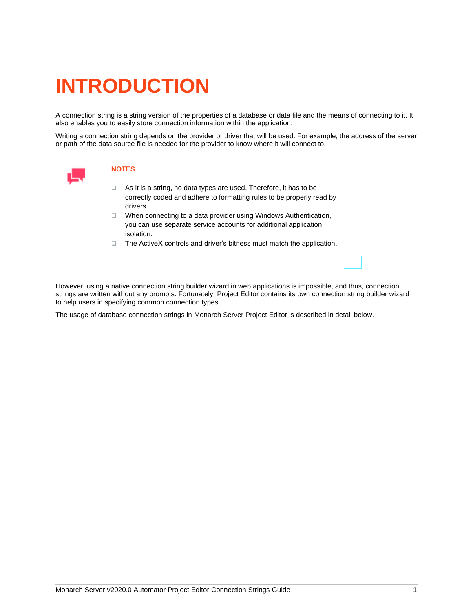# <span id="page-2-0"></span>**INTRODUCTION**

A connection string is a string version of the properties of a database or data file and the means of connecting to it. It also enables you to easily store connection information within the application.

Writing a connection string depends on the provider or driver that will be used. For example, the address of the server or path of the data source file is needed for the provider to know where it will connect to.



#### **NOTES**

- ❑ As it is a string, no data types are used. Therefore, it has to be correctly coded and adhere to formatting rules to be properly read by drivers.
- ❑ When connecting to a data provider using Windows Authentication, you can use separate service accounts for additional application isolation.
- ❑ The ActiveX controls and driver's bitness must match the application.

However, using a native connection string builder wizard in web applications is impossible, and thus, connection strings are written without any prompts. Fortunately, Project Editor contains its own connection string builder wizard to help users in specifying common connection types.

The usage of database connection strings in Monarch Server Project Editor is described in detail below.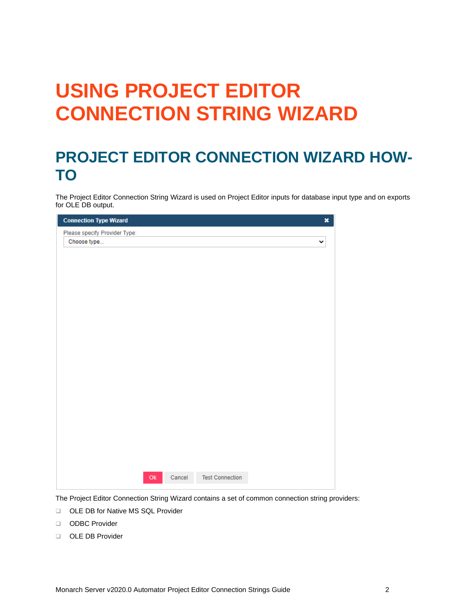# <span id="page-3-0"></span>**USING PROJECT EDITOR CONNECTION STRING WIZARD**

## <span id="page-3-1"></span>**PROJECT EDITOR CONNECTION WIZARD HOW-TO**

The Project Editor Connection String Wizard is used on Project Editor inputs for database input type and on exports for OLE DB output.

| <b>Connection Type Wizard</b> |        |                        | $\pmb{\times}$ |
|-------------------------------|--------|------------------------|----------------|
| Please specify Provider Type: |        |                        |                |
| Choose type                   |        |                        | ⌄              |
|                               |        |                        |                |
|                               |        |                        |                |
|                               |        |                        |                |
|                               |        |                        |                |
|                               |        |                        |                |
|                               |        |                        |                |
|                               |        |                        |                |
|                               |        |                        |                |
|                               |        |                        |                |
|                               |        |                        |                |
|                               |        |                        |                |
|                               |        |                        |                |
|                               |        |                        |                |
|                               |        |                        |                |
|                               |        |                        |                |
|                               |        |                        |                |
|                               |        |                        |                |
|                               |        |                        |                |
|                               |        |                        |                |
|                               |        |                        |                |
| $\mathsf{Ok}$                 | Cancel | <b>Test Connection</b> |                |
|                               |        |                        |                |

The Project Editor Connection String Wizard contains a set of common connection string providers:

- ❑ OLE DB for Native MS SQL Provider
- ❑ ODBC Provider
- ❑ OLE DB Provider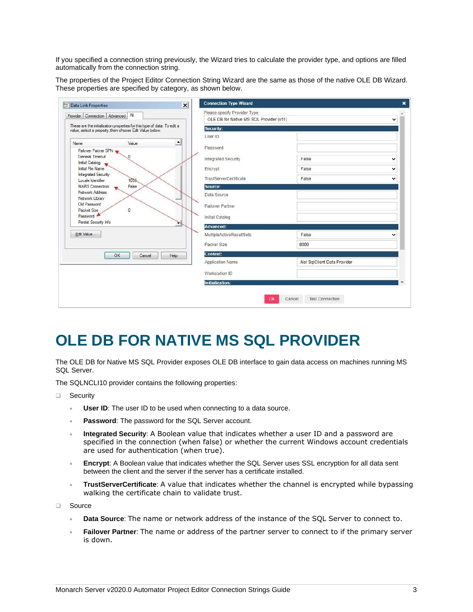If you specified a connection string previously, the Wizard tries to calculate the provider type, and options are filled automatically from the connection string.

The properties of the Project Editor Connection String Wizard are the same as those of the native OLE DB Wizard. These properties are specified by category, as shown below.

| <b>Data Link Properties</b>                                                                                                         | $\vert x \vert$ | <b>Connection Type Wizard</b>                                            |                             |              |
|-------------------------------------------------------------------------------------------------------------------------------------|-----------------|--------------------------------------------------------------------------|-----------------------------|--------------|
| All<br>Provider Connection Advanced                                                                                                 |                 | Please specify Provider Type:<br>OLE DB for Native MS SQL Provider (v11) |                             | v            |
| These are the initialization properties for this type of data. To edit a<br>value, select a property, then choose Edit Value below. |                 | <b>Security:</b>                                                         |                             |              |
|                                                                                                                                     |                 | User ID                                                                  |                             |              |
| Value<br>▲<br>Name                                                                                                                  |                 | Password                                                                 |                             |              |
| Failover Partner SPN<br>General Timeout                                                                                             |                 |                                                                          |                             |              |
| <b>Initial Catalog</b>                                                                                                              |                 | Integrated Security                                                      | False                       | $\checkmark$ |
| <b>Initial File Name</b>                                                                                                            |                 | Encrypt                                                                  | False                       | $\checkmark$ |
| <b>Integrated Security</b><br>1033<br>Locale Identifier                                                                             |                 | <b>TrustServerCertificate</b>                                            | False                       | $\checkmark$ |
| False<br><b>MARS</b> Connection                                                                                                     |                 | Source:                                                                  |                             |              |
| Network Address<br>Network Library                                                                                                  |                 | Data Source                                                              |                             |              |
| Old Password                                                                                                                        |                 | <b>Failover Partner</b>                                                  |                             |              |
| $\mathbf{0}$<br>Packet Size<br>Password                                                                                             |                 | Initial Catalog                                                          |                             |              |
| Persist Security Info                                                                                                               |                 |                                                                          |                             |              |
| Edit Value                                                                                                                          |                 | <b>Advanced:</b><br>MultipleActiveResultSets                             | False                       |              |
|                                                                                                                                     |                 |                                                                          |                             |              |
|                                                                                                                                     |                 | Packet Size                                                              | 8000                        |              |
| Help<br>OK<br>Cancel                                                                                                                |                 | Context:                                                                 |                             |              |
|                                                                                                                                     |                 | Application Name                                                         | Net SqlClient Data Provider |              |
|                                                                                                                                     |                 | Workstation ID                                                           |                             |              |
|                                                                                                                                     |                 | <b>Initialization:</b>                                                   |                             |              |

## <span id="page-4-0"></span>**OLE DB FOR NATIVE MS SQL PROVIDER**

The OLE DB for Native MS SQL Provider exposes OLE DB interface to gain data access on machines running MS SQL Server.

The SQLNCLI10 provider contains the following properties:

❑ Security

- **User ID:** The user ID to be used when connecting to a data source.
- **Password**: The password for the SQL Server account.
- **Integrated Security**: A Boolean value that indicates whether a user ID and a password are specified in the connection (when false) or whether the current Windows account credentials are used for authentication (when true).
- **Encrypt**: A Boolean value that indicates whether the SQL Server uses SSL encryption for all data sent between the client and the server if the server has a certificate installed.
- **TrustServerCertificate**: A value that indicates whether the channel is encrypted while bypassing walking the certificate chain to validate trust.

❑ Source

- **Data Source**: The name or network address of the instance of the SQL Server to connect to.
- **Failover Partner**: The name or address of the partner server to connect to if the primary server is down.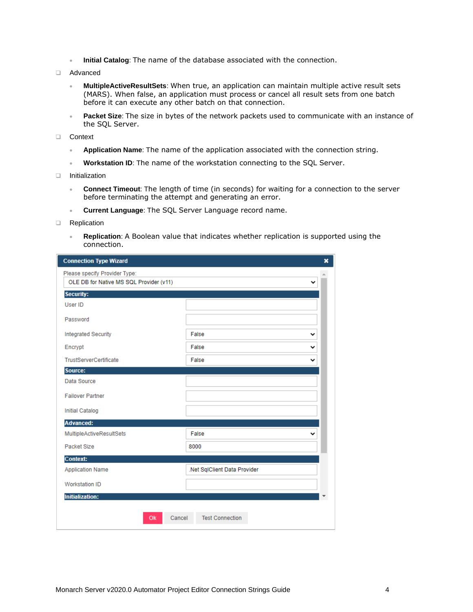- **Initial Catalog**: The name of the database associated with the connection.
- ❑ Advanced
	- **MultipleActiveResultSets**: When true, an application can maintain multiple active result sets (MARS). When false, an application must process or cancel all result sets from one batch before it can execute any other batch on that connection.
	- **Packet Size**: The size in bytes of the network packets used to communicate with an instance of the SQL Server.
- ❑ Context
	- **Application Name**: The name of the application associated with the connection string.
	- **Workstation ID**: The name of the workstation connecting to the SQL Server.
- ❑ Initialization
	- **Connect Timeout**: The length of time (in seconds) for waiting for a connection to the server before terminating the attempt and generating an error.
	- **Current Language**: The SQL Server Language record name.
- ❑ Replication
	- **Replication**: A Boolean value that indicates whether replication is supported using the connection.

| <b>Connection Type Wizard</b>                                            |                              | × |
|--------------------------------------------------------------------------|------------------------------|---|
| Please specify Provider Type:<br>OLE DB for Native MS SQL Provider (v11) |                              |   |
| <b>Security:</b>                                                         |                              |   |
| User ID                                                                  |                              |   |
| Password                                                                 |                              |   |
| <b>Integrated Security</b>                                               | False<br>v                   |   |
| Encrypt                                                                  | False<br>╰                   |   |
| <b>TrustServerCertificate</b>                                            | False<br>v                   |   |
| Source:                                                                  |                              |   |
| Data Source                                                              |                              |   |
| <b>Failover Partner</b>                                                  |                              |   |
| <b>Initial Catalog</b>                                                   |                              |   |
| <b>Advanced:</b>                                                         |                              |   |
| MultipleActiveResultSets                                                 | False<br>◡                   |   |
| Packet Size                                                              | 8000                         |   |
| <b>Context:</b>                                                          |                              |   |
| <b>Application Name</b>                                                  | .Net SqlClient Data Provider |   |
| <b>Workstation ID</b>                                                    |                              |   |
| <b>Initialization:</b>                                                   |                              |   |
| Cancel<br>Ok                                                             | <b>Test Connection</b>       |   |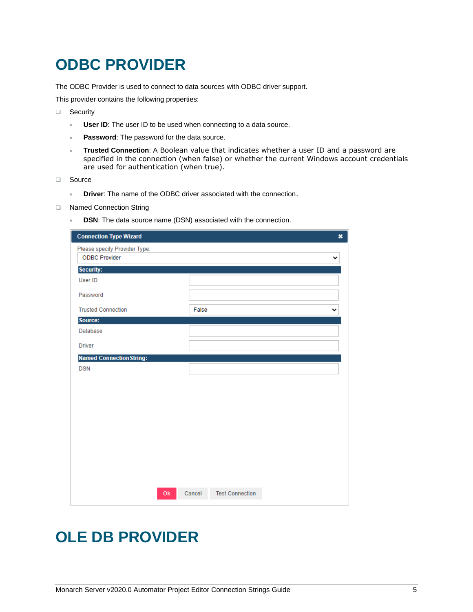## <span id="page-6-0"></span>**ODBC PROVIDER**

The ODBC Provider is used to connect to data sources with ODBC driver support.

This provider contains the following properties:

- ❑ Security
	- **User ID:** The user ID to be used when connecting to a data source.
	- **Password:** The password for the data source.
	- **Trusted Connection**: A Boolean value that indicates whether a user ID and a password are specified in the connection (when false) or whether the current Windows account credentials are used for authentication (when true).
- ❑ Source
	- **Driver**: The name of the ODBC driver associated with the connection.
- ❑ Named Connection String
	- **DSN**: The data source name (DSN) associated with the connection.

| <b>Connection Type Wizard</b>                         | $\boldsymbol{\mathsf{x}}$        |
|-------------------------------------------------------|----------------------------------|
| Please specify Provider Type:<br><b>ODBC Provider</b> | ◡                                |
| <b>Security:</b>                                      |                                  |
| User ID                                               |                                  |
| Password                                              |                                  |
| <b>Trusted Connection</b>                             | False<br>v                       |
| Source:                                               |                                  |
| <b>Database</b>                                       |                                  |
| <b>Driver</b>                                         |                                  |
| <b>Named Connection String:</b>                       |                                  |
| <b>DSN</b>                                            |                                  |
|                                                       |                                  |
|                                                       |                                  |
|                                                       |                                  |
|                                                       |                                  |
|                                                       |                                  |
|                                                       |                                  |
|                                                       |                                  |
|                                                       |                                  |
|                                                       |                                  |
|                                                       |                                  |
| Ok                                                    | <b>Test Connection</b><br>Cancel |

### <span id="page-6-1"></span>**OLE DB PROVIDER**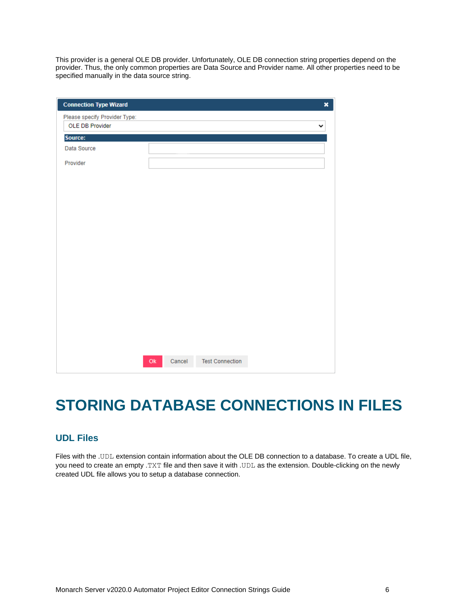This provider is a general OLE DB provider. Unfortunately, OLE DB connection string properties depend on the provider. Thus, the only common properties are Data Source and Provider name. All other properties need to be specified manually in the data source string.

| <b>Connection Type Wizard</b>                    |  |  | × |
|--------------------------------------------------|--|--|---|
| Please specify Provider Type:<br>OLE DB Provider |  |  | v |
| Source:                                          |  |  |   |
| Data Source                                      |  |  |   |
| Provider                                         |  |  |   |
|                                                  |  |  |   |
|                                                  |  |  |   |
|                                                  |  |  |   |
|                                                  |  |  |   |
|                                                  |  |  |   |
|                                                  |  |  |   |
|                                                  |  |  |   |
|                                                  |  |  |   |
|                                                  |  |  |   |
|                                                  |  |  |   |
|                                                  |  |  |   |
|                                                  |  |  |   |
|                                                  |  |  |   |
|                                                  |  |  |   |
|                                                  |  |  |   |
|                                                  |  |  |   |

# <span id="page-7-0"></span>**STORING DATABASE CONNECTIONS IN FILES**

### <span id="page-7-1"></span>**UDL Files**

Files with the .UDL extension contain information about the OLE DB connection to a database. To create a UDL file, you need to create an empty .TXT file and then save it with .UDL as the extension. Double-clicking on the newly created UDL file allows you to setup a database connection.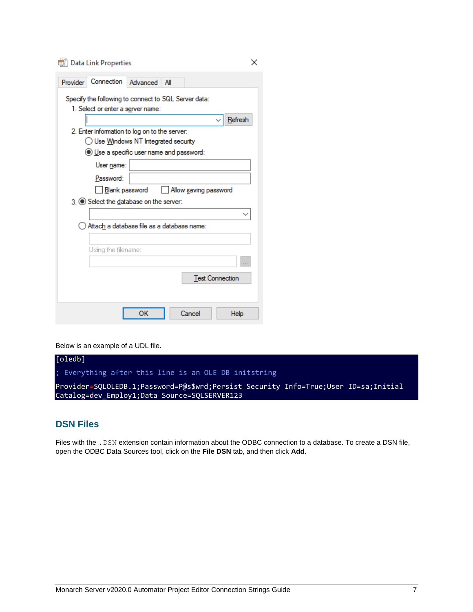Data Link Properties

| Provider | Connection Advanced                                                                       | All |                       |                        |
|----------|-------------------------------------------------------------------------------------------|-----|-----------------------|------------------------|
|          | Specify the following to connect to SQL Server data:<br>1. Select or enter a server name: |     |                       |                        |
|          |                                                                                           |     |                       | Refresh                |
|          | 2. Enter information to log on to the server:                                             |     |                       |                        |
|          | ) Use Windows NT Integrated security                                                      |     |                       |                        |
|          | (e) Use a specific user name and password:                                                |     |                       |                        |
|          | User name:                                                                                |     |                       |                        |
|          | Password:                                                                                 |     |                       |                        |
|          | Blank password                                                                            |     | Allow saving password |                        |
|          | 3. Select the database on the server:                                                     |     |                       |                        |
|          |                                                                                           |     |                       |                        |
|          |                                                                                           |     |                       |                        |
|          | Attach a database file as a database name:                                                |     |                       |                        |
|          |                                                                                           |     |                       |                        |
|          |                                                                                           |     |                       |                        |
|          | Using the filename:                                                                       |     |                       |                        |
|          |                                                                                           |     |                       | <b>Test Connection</b> |
|          |                                                                                           |     |                       |                        |
|          |                                                                                           |     |                       |                        |

Below is an example of a UDL file.



×

### <span id="page-8-0"></span>**DSN Files**

Files with the . DSN extension contain information about the ODBC connection to a database. To create a DSN file, open the ODBC Data Sources tool, click on the **File DSN** tab, and then click **Add**.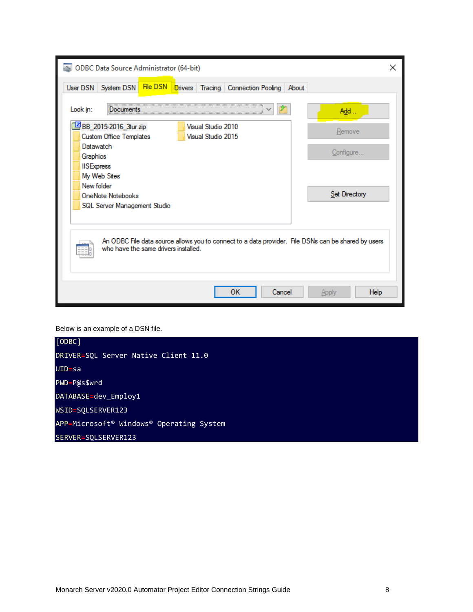| ODBC Data Source Administrator (64-bit)                                                                                                     | $\times$      |  |  |  |  |  |
|---------------------------------------------------------------------------------------------------------------------------------------------|---------------|--|--|--|--|--|
| File DSN<br>User DSN   System DSN<br>Drivers Tracing Connection Pooling About                                                               |               |  |  |  |  |  |
| Look in:<br><b>Documents</b>                                                                                                                | Add           |  |  |  |  |  |
| BB_2015-2016_3tur.zip<br>Visual Studio 2010<br>Visual Studio 2015<br><b>Custom Office Templates</b>                                         | Remove        |  |  |  |  |  |
| <b>Datawatch</b><br>Graphics<br><b>IISExpress</b><br>My Web Sites<br>New folder                                                             | Configure     |  |  |  |  |  |
| <b>OneNote Notebooks</b><br>SQL Server Management Studio                                                                                    | Set Directory |  |  |  |  |  |
| An ODBC File data source allows you to connect to a data provider. File DSNs can be shared by users<br>who have the same drivers installed. |               |  |  |  |  |  |
| Cancel<br>OК                                                                                                                                | Help<br>Apply |  |  |  |  |  |

Below is an example of a DSN file.

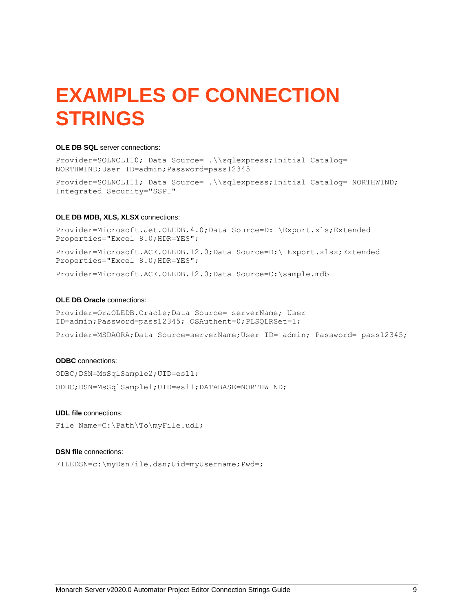# <span id="page-10-0"></span>**EXAMPLES OF CONNECTION STRINGS**

#### **OLE DB SQL** server connections:

Provider=SQLNCLI10; Data Source= .\\sqlexpress;Initial Catalog= NORTHWIND;User ID=admin;Password=pass12345

Provider=SQLNCLI11; Data Source= .\\sqlexpress;Initial Catalog= NORTHWIND; Integrated Security="SSPI"

#### **OLE DB MDB, XLS, XLSX** connections:

Provider=Microsoft.Jet.OLEDB.4.0;Data Source=D: \Export.xls;Extended Properties="Excel 8.0;HDR=YES";

Provider=Microsoft.ACE.OLEDB.12.0;Data Source=D:\ Export.xlsx;Extended Properties="Excel 8.0;HDR=YES";

Provider=Microsoft.ACE.OLEDB.12.0;Data Source=C:\sample.mdb

#### **OLE DB Oracle** connections:

Provider=OraOLEDB.Oracle;Data Source= serverName; User ID=admin;Password=pass12345; OSAuthent=0;PLSQLRSet=1;

Provider=MSDAORA;Data Source=serverName;User ID= admin; Password= pass12345;

#### **ODBC** connections:

ODBC;DSN=MsSqlSample2;UID=es11;

ODBC;DSN=MsSqlSample1;UID=es11;DATABASE=NORTHWIND;

#### **UDL file** connections:

File Name=C:\Path\To\myFile.udl;

#### **DSN file** connections:

FILEDSN=c:\myDsnFile.dsn;Uid=myUsername;Pwd=;